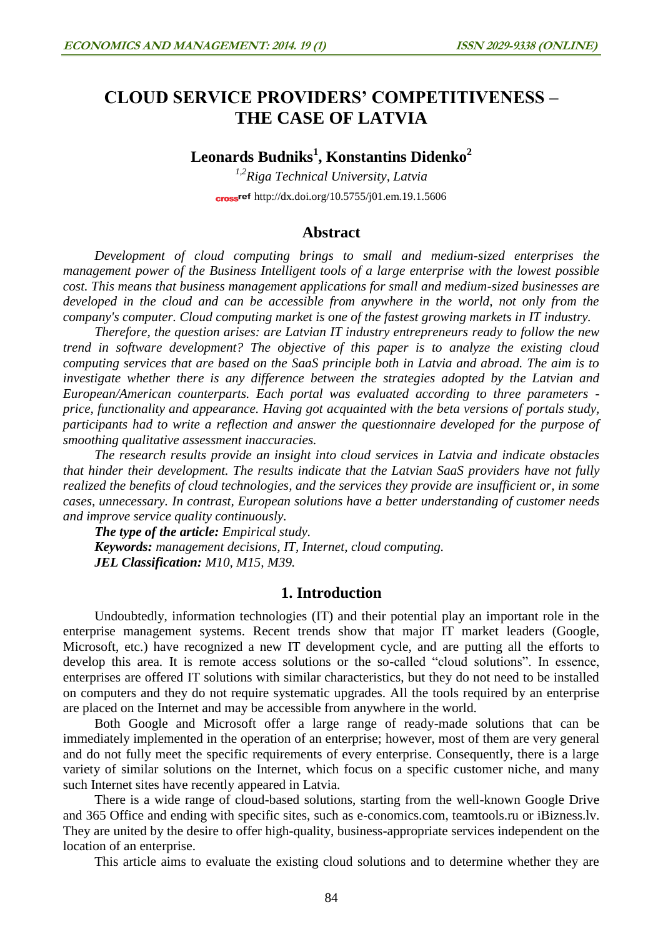# **CLOUD SERVICE PROVIDERS' COMPETITIVENESS – THE CASE OF LATVIA**

# **Leonards Budniks<sup>1</sup> , Konstantins Didenko<sup>2</sup>**

*1,2Riga Technical University, Latvia* cross<sup>ref</sup> <http://dx.doi.org/10.5755/j01.em.19.1.5606>

#### **Abstract**

*Development of cloud computing brings to small and medium-sized enterprises the management power of the Business Intelligent tools of a large enterprise with the lowest possible cost. This means that business management applications for small and medium-sized businesses are developed in the cloud and can be accessible from anywhere in the world, not only from the company's computer. Cloud computing market is one of the fastest growing markets in IT industry.* 

*Therefore, the question arises: are Latvian IT industry entrepreneurs ready to follow the new trend in software development? The objective of this paper is to analyze the existing cloud computing services that are based on the SaaS principle both in Latvia and abroad. The aim is to investigate whether there is any difference between the strategies adopted by the Latvian and European/American counterparts. Each portal was evaluated according to three parameters price, functionality and appearance. Having got acquainted with the beta versions of portals study, participants had to write a reflection and answer the questionnaire developed for the purpose of smoothing qualitative assessment inaccuracies.*

*The research results provide an insight into cloud services in Latvia and indicate obstacles that hinder their development. The results indicate that the Latvian SaaS providers have not fully realized the benefits of cloud technologies, and the services they provide are insufficient or, in some cases, unnecessary. In contrast, European solutions have a better understanding of customer needs and improve service quality continuously.*

*The type of the article: Empirical study. Keywords: management decisions, IT, Internet, cloud computing. JEL Classification: M10, M15, M39.*

## **1. Introduction**

Undoubtedly, information technologies (IT) and their potential play an important role in the enterprise management systems. Recent trends show that major IT market leaders (Google, Microsoft, etc.) have recognized a new IT development cycle, and are putting all the efforts to develop this area. It is remote access solutions or the so-called "cloud solutions". In essence, enterprises are offered IT solutions with similar characteristics, but they do not need to be installed on computers and they do not require systematic upgrades. All the tools required by an enterprise are placed on the Internet and may be accessible from anywhere in the world.

Both Google and Microsoft offer a large range of ready-made solutions that can be immediately implemented in the operation of an enterprise; however, most of them are very general and do not fully meet the specific requirements of every enterprise. Consequently, there is a large variety of similar solutions on the Internet, which focus on a specific customer niche, and many such Internet sites have recently appeared in Latvia.

There is a wide range of cloud-based solutions, starting from the well-known Google Drive and 365 Office and ending with specific sites, such as e-conomics.com, teamtools.ru or iBizness.lv. They are united by the desire to offer high-quality, business-appropriate services independent on the location of an enterprise.

This article aims to evaluate the existing cloud solutions and to determine whether they are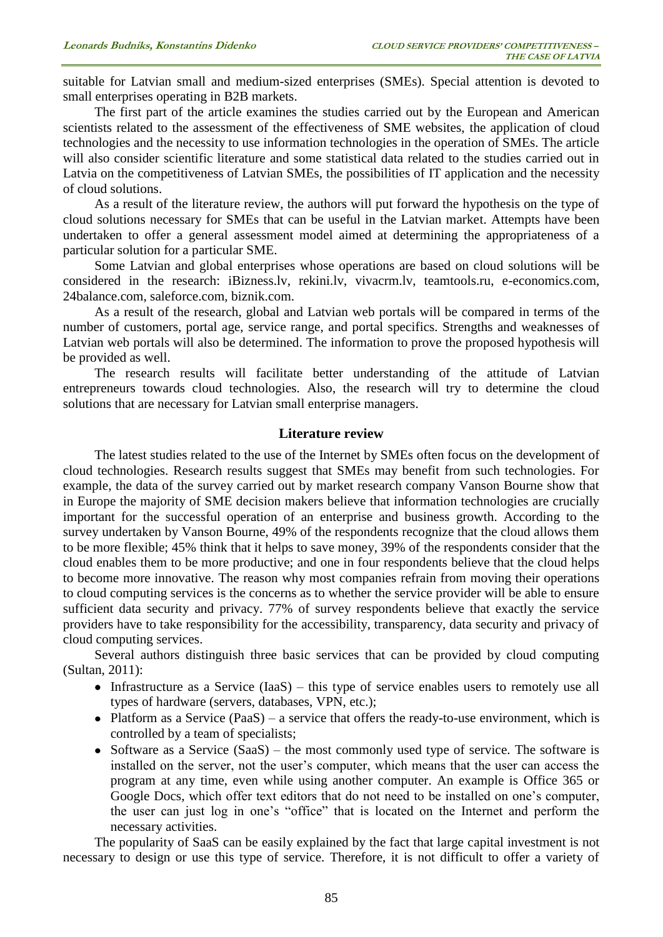suitable for Latvian small and medium-sized enterprises (SMEs). Special attention is devoted to small enterprises operating in B2B markets.

The first part of the article examines the studies carried out by the European and American scientists related to the assessment of the effectiveness of SME websites, the application of cloud technologies and the necessity to use information technologies in the operation of SMEs. The article will also consider scientific literature and some statistical data related to the studies carried out in Latvia on the competitiveness of Latvian SMEs, the possibilities of IT application and the necessity of cloud solutions.

As a result of the literature review, the authors will put forward the hypothesis on the type of cloud solutions necessary for SMEs that can be useful in the Latvian market. Attempts have been undertaken to offer a general assessment model aimed at determining the appropriateness of a particular solution for a particular SME.

Some Latvian and global enterprises whose operations are based on cloud solutions will be considered in the research: iBizness.lv, rekini.lv, vivacrm.lv, teamtools.ru, e-economics.com, 24balance.com, saleforce.com, biznik.com.

As a result of the research, global and Latvian web portals will be compared in terms of the number of customers, portal age, service range, and portal specifics. Strengths and weaknesses of Latvian web portals will also be determined. The information to prove the proposed hypothesis will be provided as well.

The research results will facilitate better understanding of the attitude of Latvian entrepreneurs towards cloud technologies. Also, the research will try to determine the cloud solutions that are necessary for Latvian small enterprise managers.

### **Literature review**

The latest studies related to the use of the Internet by SMEs often focus on the development of cloud technologies. Research results suggest that SMEs may benefit from such technologies. For example, the data of the survey carried out by market research company Vanson Bourne show that in Europe the majority of SME decision makers believe that information technologies are crucially important for the successful operation of an enterprise and business growth. According to the survey undertaken by Vanson Bourne, 49% of the respondents recognize that the cloud allows them to be more flexible; 45% think that it helps to save money, 39% of the respondents consider that the cloud enables them to be more productive; and one in four respondents believe that the cloud helps to become more innovative. The reason why most companies refrain from moving their operations to cloud computing services is the concerns as to whether the service provider will be able to ensure sufficient data security and privacy. 77% of survey respondents believe that exactly the service providers have to take responsibility for the accessibility, transparency, data security and privacy of cloud computing services.

Several authors distinguish three basic services that can be provided by cloud computing (Sultan, 2011):

- Infrastructure as a Service (IaaS) this type of service enables users to remotely use all types of hardware (servers, databases, VPN, etc.);
- Platform as a Service  $(PaaS) a$  service that offers the ready-to-use environment, which is controlled by a team of specialists;
- Software as a Service  $(SaAS)$  the most commonly used type of service. The software is installed on the server, not the user's computer, which means that the user can access the program at any time, even while using another computer. An example is Office 365 or Google Docs, which offer text editors that do not need to be installed on one's computer, the user can just log in one's "office" that is located on the Internet and perform the necessary activities.

The popularity of SaaS can be easily explained by the fact that large capital investment is not necessary to design or use this type of service. Therefore, it is not difficult to offer a variety of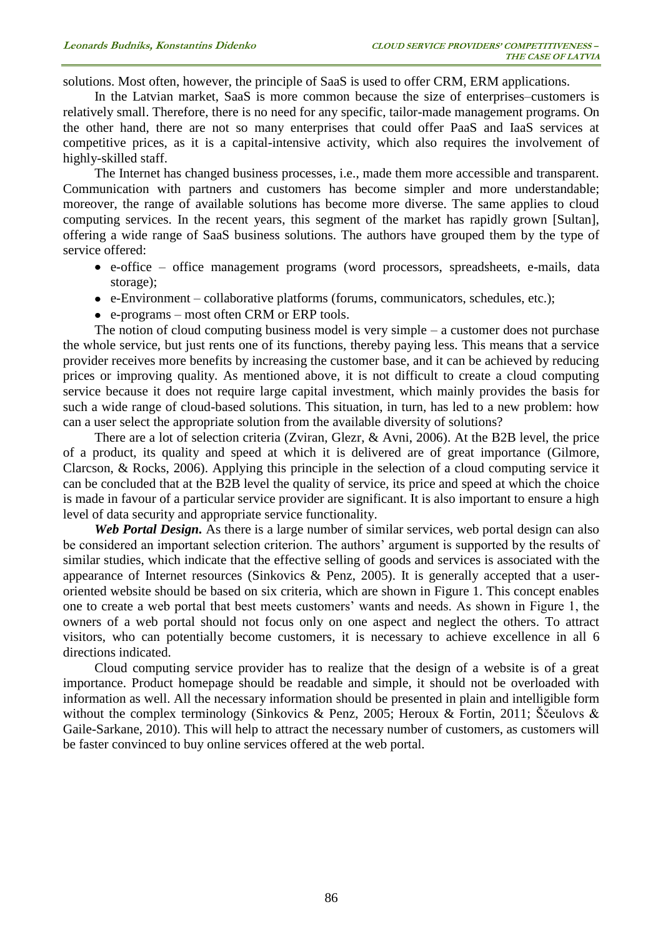solutions. Most often, however, the principle of SaaS is used to offer CRM, ERM applications.

In the Latvian market, SaaS is more common because the size of enterprises–customers is relatively small. Therefore, there is no need for any specific, tailor-made management programs. On the other hand, there are not so many enterprises that could offer PaaS and IaaS services at competitive prices, as it is a capital-intensive activity, which also requires the involvement of highly-skilled staff.

The Internet has changed business processes, i.e., made them more accessible and transparent. Communication with partners and customers has become simpler and more understandable; moreover, the range of available solutions has become more diverse. The same applies to cloud computing services. In the recent years, this segment of the market has rapidly grown [Sultan], offering a wide range of SaaS business solutions. The authors have grouped them by the type of service offered:

- e-office office management programs (word processors, spreadsheets, e-mails, data storage);
- e-Environment collaborative platforms (forums, communicators, schedules, etc.);
- e-programs most often CRM or ERP tools.

The notion of cloud computing business model is very simple – a customer does not purchase the whole service, but just rents one of its functions, thereby paying less. This means that a service provider receives more benefits by increasing the customer base, and it can be achieved by reducing prices or improving quality. As mentioned above, it is not difficult to create a cloud computing service because it does not require large capital investment, which mainly provides the basis for such a wide range of cloud-based solutions. This situation, in turn, has led to a new problem: how can a user select the appropriate solution from the available diversity of solutions?

There are a lot of selection criteria (Zviran, Glezr, & Avni, 2006). At the B2B level, the price of a product, its quality and speed at which it is delivered are of great importance (Gilmore, Clarcson, & Rocks, 2006). Applying this principle in the selection of a cloud computing service it can be concluded that at the B2B level the quality of service, its price and speed at which the choice is made in favour of a particular service provider are significant. It is also important to ensure a high level of data security and appropriate service functionality.

*Web Portal Design.* As there is a large number of similar services, web portal design can also be considered an important selection criterion. The authors' argument is supported by the results of similar studies, which indicate that the effective selling of goods and services is associated with the appearance of Internet resources (Sinkovics & Penz, 2005). It is generally accepted that a useroriented website should be based on six criteria, which are shown in Figure 1. This concept enables one to create a web portal that best meets customers' wants and needs. As shown in Figure 1, the owners of a web portal should not focus only on one aspect and neglect the others. To attract visitors, who can potentially become customers, it is necessary to achieve excellence in all 6 directions indicated.

Cloud computing service provider has to realize that the design of a website is of a great importance. Product homepage should be readable and simple, it should not be overloaded with information as well. All the necessary information should be presented in plain and intelligible form without the complex terminology (Sinkovics & Penz, 2005; Heroux & Fortin, 2011; Ščeulovs & Gaile-Sarkane, 2010). This will help to attract the necessary number of customers, as customers will be faster convinced to buy online services offered at the web portal.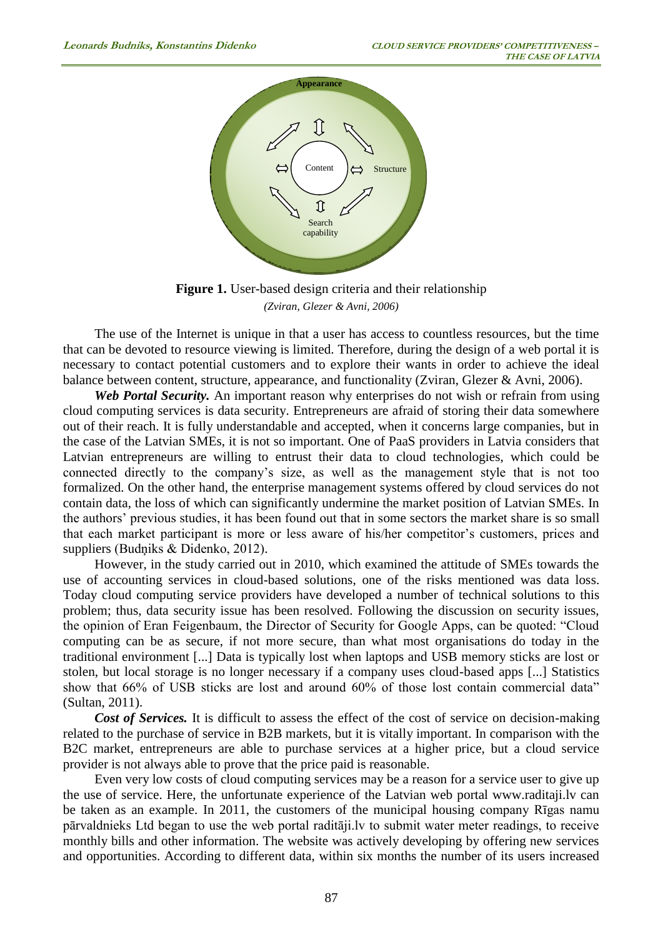

**Figure 1.** User-based design criteria and their relationship *(Zviran, Glezer & Avni, 2006)*

The use of the Internet is unique in that a user has access to countless resources, but the time that can be devoted to resource viewing is limited. Therefore, during the design of a web portal it is necessary to contact potential customers and to explore their wants in order to achieve the ideal balance between content, structure, appearance, and functionality (Zviran, Glezer & Avni, 2006).

*Web Portal Security.* An important reason why enterprises do not wish or refrain from using cloud computing services is data security. Entrepreneurs are afraid of storing their data somewhere out of their reach. It is fully understandable and accepted, when it concerns large companies, but in the case of the Latvian SMEs, it is not so important. One of PaaS providers in Latvia considers that Latvian entrepreneurs are willing to entrust their data to cloud technologies, which could be connected directly to the company's size, as well as the management style that is not too formalized. On the other hand, the enterprise management systems offered by cloud services do not contain data, the loss of which can significantly undermine the market position of Latvian SMEs. In the authors' previous studies, it has been found out that in some sectors the market share is so small that each market participant is more or less aware of his/her competitor's customers, prices and suppliers (Budņiks & Didenko, 2012).

However, in the study carried out in 2010, which examined the attitude of SMEs towards the use of accounting services in cloud-based solutions, one of the risks mentioned was data loss. Today cloud computing service providers have developed a number of technical solutions to this problem; thus, data security issue has been resolved. Following the discussion on security issues, the opinion of Eran Feigenbaum, the Director of Security for Google Apps, can be quoted: "Cloud computing can be as secure, if not more secure, than what most organisations do today in the traditional environment [...] Data is typically lost when laptops and USB memory sticks are lost or stolen, but local storage is no longer necessary if a company uses cloud-based apps [...] Statistics show that 66% of USB sticks are lost and around 60% of those lost contain commercial data" (Sultan, 2011).

*Cost of Services.* It is difficult to assess the effect of the cost of service on decision-making related to the purchase of service in B2B markets, but it is vitally important. In comparison with the B2C market, entrepreneurs are able to purchase services at a higher price, but a cloud service provider is not always able to prove that the price paid is reasonable.

Even very low costs of cloud computing services may be a reason for a service user to give up the use of service. Here, the unfortunate experience of the Latvian web portal www.raditaji.lv can be taken as an example. In 2011, the customers of the municipal housing company Rīgas namu pārvaldnieks Ltd began to use the web portal raditāji.lv to submit water meter readings, to receive monthly bills and other information. The website was actively developing by offering new services and opportunities. According to different data, within six months the number of its users increased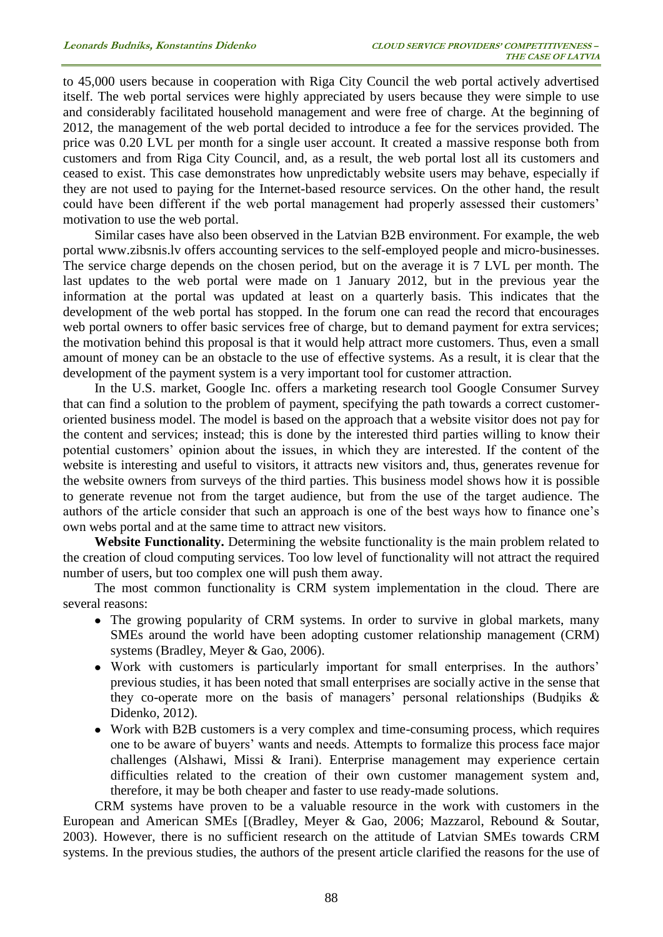to 45,000 users because in cooperation with Riga City Council the web portal actively advertised itself. The web portal services were highly appreciated by users because they were simple to use and considerably facilitated household management and were free of charge. At the beginning of 2012, the management of the web portal decided to introduce a fee for the services provided. The price was 0.20 LVL per month for a single user account. It created a massive response both from customers and from Riga City Council, and, as a result, the web portal lost all its customers and ceased to exist. This case demonstrates how unpredictably website users may behave, especially if they are not used to paying for the Internet-based resource services. On the other hand, the result could have been different if the web portal management had properly assessed their customers' motivation to use the web portal.

Similar cases have also been observed in the Latvian B2B environment. For example, the web portal www.zibsnis.lv offers accounting services to the self-employed people and micro-businesses. The service charge depends on the chosen period, but on the average it is 7 LVL per month. The last updates to the web portal were made on 1 January 2012, but in the previous year the information at the portal was updated at least on a quarterly basis. This indicates that the development of the web portal has stopped. In the forum one can read the record that encourages web portal owners to offer basic services free of charge, but to demand payment for extra services; the motivation behind this proposal is that it would help attract more customers. Thus, even a small amount of money can be an obstacle to the use of effective systems. As a result, it is clear that the development of the payment system is a very important tool for customer attraction.

In the U.S. market, Google Inc. offers a marketing research tool Google Consumer Survey that can find a solution to the problem of payment, specifying the path towards a correct customeroriented business model. The model is based on the approach that a website visitor does not pay for the content and services; instead; this is done by the interested third parties willing to know their potential customers' opinion about the issues, in which they are interested. If the content of the website is interesting and useful to visitors, it attracts new visitors and, thus, generates revenue for the website owners from surveys of the third parties. This business model shows how it is possible to generate revenue not from the target audience, but from the use of the target audience. The authors of the article consider that such an approach is one of the best ways how to finance one's own webs portal and at the same time to attract new visitors.

**Website Functionality.** Determining the website functionality is the main problem related to the creation of cloud computing services. Too low level of functionality will not attract the required number of users, but too complex one will push them away.

The most common functionality is CRM system implementation in the cloud. There are several reasons:

- The growing popularity of CRM systems. In order to survive in global markets, many SMEs around the world have been adopting customer relationship management (CRM) systems (Bradley, Meyer & Gao, 2006).
- Work with customers is particularly important for small enterprises. In the authors' previous studies, it has been noted that small enterprises are socially active in the sense that they co-operate more on the basis of managers' personal relationships (Budņiks & Didenko, 2012).
- Work with B2B customers is a very complex and time-consuming process, which requires one to be aware of buyers' wants and needs. Attempts to formalize this process face major challenges (Alshawi, Missi & Irani). Enterprise management may experience certain difficulties related to the creation of their own customer management system and, therefore, it may be both cheaper and faster to use ready-made solutions.

CRM systems have proven to be a valuable resource in the work with customers in the European and American SMEs [(Bradley, Meyer & Gao, 2006; Mazzarol, Rebound & Soutar, 2003). However, there is no sufficient research on the attitude of Latvian SMEs towards CRM systems. In the previous studies, the authors of the present article clarified the reasons for the use of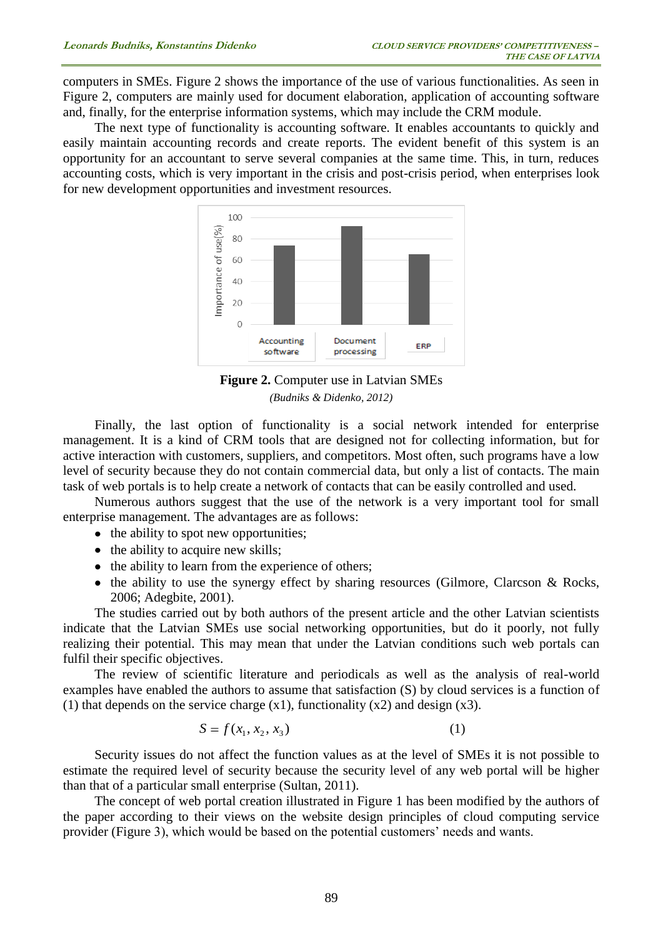computers in SMEs. Figure 2 shows the importance of the use of various functionalities. As seen in Figure 2, computers are mainly used for document elaboration, application of accounting software and, finally, for the enterprise information systems, which may include the CRM module.

The next type of functionality is accounting software. It enables accountants to quickly and easily maintain accounting records and create reports. The evident benefit of this system is an opportunity for an accountant to serve several companies at the same time. This, in turn, reduces accounting costs, which is very important in the crisis and post-crisis period, when enterprises look for new development opportunities and investment resources.



**Figure 2.** Computer use in Latvian SMEs *(Budniks & Didenko, 2012)*

Finally, the last option of functionality is a social network intended for enterprise management. It is a kind of CRM tools that are designed not for collecting information, but for active interaction with customers, suppliers, and competitors. Most often, such programs have a low level of security because they do not contain commercial data, but only a list of contacts. The main task of web portals is to help create a network of contacts that can be easily controlled and used.

Numerous authors suggest that the use of the network is a very important tool for small enterprise management. The advantages are as follows:

- the ability to spot new opportunities;
- the ability to acquire new skills;
- the ability to learn from the experience of others;
- $\bullet$  the ability to use the synergy effect by sharing resources (Gilmore, Clarcson & Rocks, 2006; Adegbite, 2001).

The studies carried out by both authors of the present article and the other Latvian scientists indicate that the Latvian SMEs use social networking opportunities, but do it poorly, not fully realizing their potential. This may mean that under the Latvian conditions such web portals can fulfil their specific objectives.

The review of scientific literature and periodicals as well as the analysis of real-world examples have enabled the authors to assume that satisfaction (S) by cloud services is a function of (1) that depends on the service charge  $(x1)$ , functionality  $(x2)$  and design  $(x3)$ .

$$
S = f(x_1, x_2, x_3)
$$
 (1)

Security issues do not affect the function values as at the level of SMEs it is not possible to estimate the required level of security because the security level of any web portal will be higher than that of a particular small enterprise (Sultan, 2011).

The concept of web portal creation illustrated in Figure 1 has been modified by the authors of the paper according to their views on the website design principles of cloud computing service provider (Figure 3), which would be based on the potential customers' needs and wants.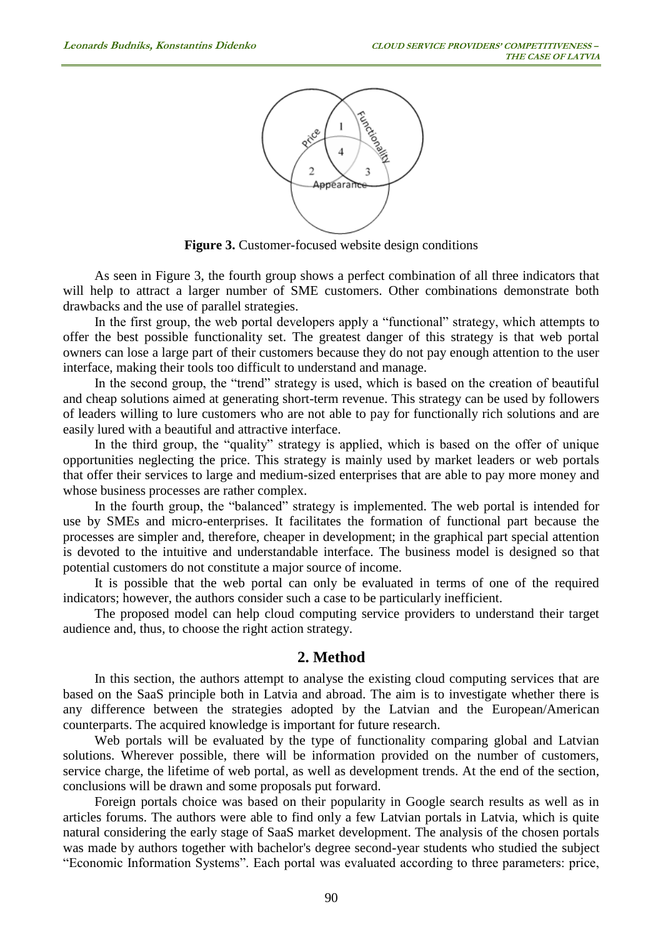

Figure 3. Customer-focused website design conditions

As seen in Figure 3, the fourth group shows a perfect combination of all three indicators that will help to attract a larger number of SME customers. Other combinations demonstrate both drawbacks and the use of parallel strategies.

In the first group, the web portal developers apply a "functional" strategy, which attempts to offer the best possible functionality set. The greatest danger of this strategy is that web portal owners can lose a large part of their customers because they do not pay enough attention to the user interface, making their tools too difficult to understand and manage.

In the second group, the "trend" strategy is used, which is based on the creation of beautiful and cheap solutions aimed at generating short-term revenue. This strategy can be used by followers of leaders willing to lure customers who are not able to pay for functionally rich solutions and are easily lured with a beautiful and attractive interface.

In the third group, the "quality" strategy is applied, which is based on the offer of unique opportunities neglecting the price. This strategy is mainly used by market leaders or web portals that offer their services to large and medium-sized enterprises that are able to pay more money and whose business processes are rather complex.

In the fourth group, the "balanced" strategy is implemented. The web portal is intended for use by SMEs and micro-enterprises. It facilitates the formation of functional part because the processes are simpler and, therefore, cheaper in development; in the graphical part special attention is devoted to the intuitive and understandable interface. The business model is designed so that potential customers do not constitute a major source of income.

It is possible that the web portal can only be evaluated in terms of one of the required indicators; however, the authors consider such a case to be particularly inefficient.

The proposed model can help cloud computing service providers to understand their target audience and, thus, to choose the right action strategy.

### **2. Method**

In this section, the authors attempt to analyse the existing cloud computing services that are based on the SaaS principle both in Latvia and abroad. The aim is to investigate whether there is any difference between the strategies adopted by the Latvian and the European/American counterparts. The acquired knowledge is important for future research.

Web portals will be evaluated by the type of functionality comparing global and Latvian solutions. Wherever possible, there will be information provided on the number of customers, service charge, the lifetime of web portal, as well as development trends. At the end of the section, conclusions will be drawn and some proposals put forward.

Foreign portals choice was based on their popularity in Google search results as well as in articles forums. The authors were able to find only a few Latvian portals in Latvia, which is quite natural considering the early stage of SaaS market development. The analysis of the chosen portals was made by authors together with bachelor's degree second-year students who studied the subject "Economic Information Systems". Each portal was evaluated according to three parameters: price,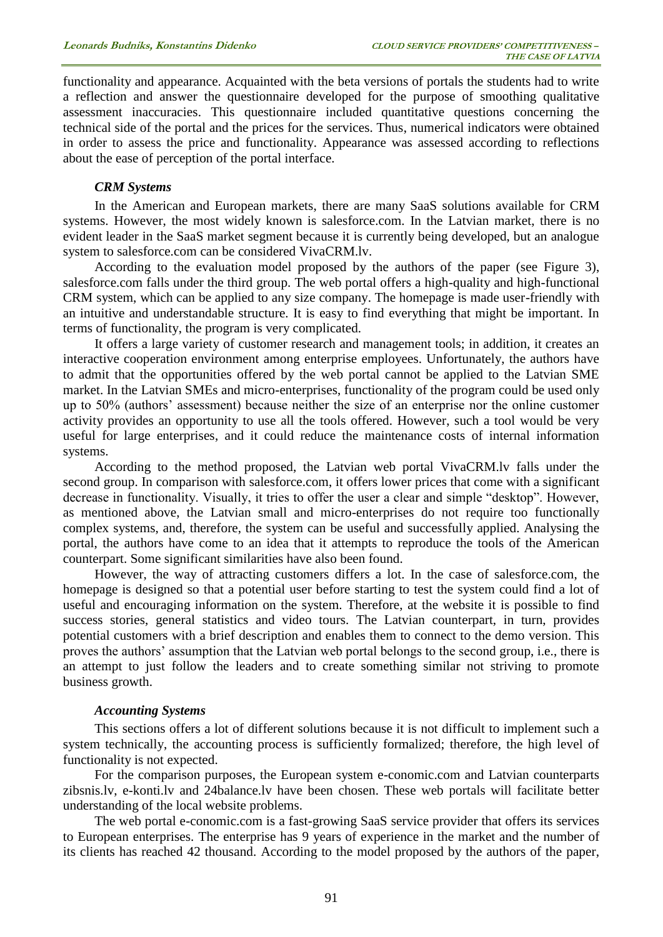functionality and appearance. Acquainted with the beta versions of portals the students had to write a reflection and answer the questionnaire developed for the purpose of smoothing qualitative assessment inaccuracies. This questionnaire included quantitative questions concerning the technical side of the portal and the prices for the services. Thus, numerical indicators were obtained in order to assess the price and functionality. Appearance was assessed according to reflections about the ease of perception of the portal interface.

#### *CRM Systems*

In the American and European markets, there are many SaaS solutions available for CRM systems. However, the most widely known is salesforce.com. In the Latvian market, there is no evident leader in the SaaS market segment because it is currently being developed, but an analogue system to salesforce.com can be considered VivaCRM.lv.

According to the evaluation model proposed by the authors of the paper (see Figure 3), salesforce.com falls under the third group. The web portal offers a high-quality and high-functional CRM system, which can be applied to any size company. The homepage is made user-friendly with an intuitive and understandable structure. It is easy to find everything that might be important. In terms of functionality, the program is very complicated.

It offers a large variety of customer research and management tools; in addition, it creates an interactive cooperation environment among enterprise employees. Unfortunately, the authors have to admit that the opportunities offered by the web portal cannot be applied to the Latvian SME market. In the Latvian SMEs and micro-enterprises, functionality of the program could be used only up to 50% (authors' assessment) because neither the size of an enterprise nor the online customer activity provides an opportunity to use all the tools offered. However, such a tool would be very useful for large enterprises, and it could reduce the maintenance costs of internal information systems.

According to the method proposed, the Latvian web portal VivaCRM.lv falls under the second group. In comparison with salesforce.com, it offers lower prices that come with a significant decrease in functionality. Visually, it tries to offer the user a clear and simple "desktop". However, as mentioned above, the Latvian small and micro-enterprises do not require too functionally complex systems, and, therefore, the system can be useful and successfully applied. Analysing the portal, the authors have come to an idea that it attempts to reproduce the tools of the American counterpart. Some significant similarities have also been found.

However, the way of attracting customers differs a lot. In the case of salesforce.com, the homepage is designed so that a potential user before starting to test the system could find a lot of useful and encouraging information on the system. Therefore, at the website it is possible to find success stories, general statistics and video tours. The Latvian counterpart, in turn, provides potential customers with a brief description and enables them to connect to the demo version. This proves the authors' assumption that the Latvian web portal belongs to the second group, i.e., there is an attempt to just follow the leaders and to create something similar not striving to promote business growth.

#### *Accounting Systems*

This sections offers a lot of different solutions because it is not difficult to implement such a system technically, the accounting process is sufficiently formalized; therefore, the high level of functionality is not expected.

For the comparison purposes, the European system e-conomic.com and Latvian counterparts zibsnis.lv, e-konti.lv and 24balance.lv have been chosen. These web portals will facilitate better understanding of the local website problems.

The web portal e-conomic.com is a fast-growing SaaS service provider that offers its services to European enterprises. The enterprise has 9 years of experience in the market and the number of its clients has reached 42 thousand. According to the model proposed by the authors of the paper,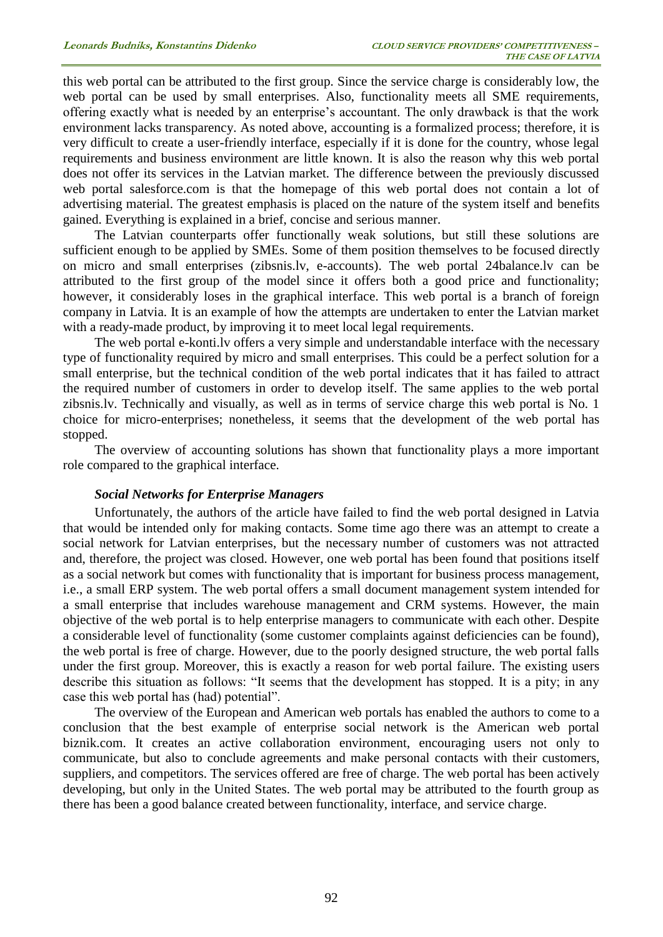this web portal can be attributed to the first group. Since the service charge is considerably low, the web portal can be used by small enterprises. Also, functionality meets all SME requirements, offering exactly what is needed by an enterprise's accountant. The only drawback is that the work environment lacks transparency. As noted above, accounting is a formalized process; therefore, it is very difficult to create a user-friendly interface, especially if it is done for the country, whose legal requirements and business environment are little known. It is also the reason why this web portal does not offer its services in the Latvian market. The difference between the previously discussed web portal salesforce.com is that the homepage of this web portal does not contain a lot of advertising material. The greatest emphasis is placed on the nature of the system itself and benefits gained. Everything is explained in a brief, concise and serious manner.

The Latvian counterparts offer functionally weak solutions, but still these solutions are sufficient enough to be applied by SMEs. Some of them position themselves to be focused directly on micro and small enterprises (zibsnis.lv, e-accounts). The web portal 24balance.lv can be attributed to the first group of the model since it offers both a good price and functionality; however, it considerably loses in the graphical interface. This web portal is a branch of foreign company in Latvia. It is an example of how the attempts are undertaken to enter the Latvian market with a ready-made product, by improving it to meet local legal requirements.

The web portal e-konti.lv offers a very simple and understandable interface with the necessary type of functionality required by micro and small enterprises. This could be a perfect solution for a small enterprise, but the technical condition of the web portal indicates that it has failed to attract the required number of customers in order to develop itself. The same applies to the web portal zibsnis.lv. Technically and visually, as well as in terms of service charge this web portal is No. 1 choice for micro-enterprises; nonetheless, it seems that the development of the web portal has stopped.

The overview of accounting solutions has shown that functionality plays a more important role compared to the graphical interface.

#### *Social Networks for Enterprise Managers*

Unfortunately, the authors of the article have failed to find the web portal designed in Latvia that would be intended only for making contacts. Some time ago there was an attempt to create a social network for Latvian enterprises, but the necessary number of customers was not attracted and, therefore, the project was closed. However, one web portal has been found that positions itself as a social network but comes with functionality that is important for business process management, i.e., a small ERP system. The web portal offers a small document management system intended for a small enterprise that includes warehouse management and CRM systems. However, the main objective of the web portal is to help enterprise managers to communicate with each other. Despite a considerable level of functionality (some customer complaints against deficiencies can be found), the web portal is free of charge. However, due to the poorly designed structure, the web portal falls under the first group. Moreover, this is exactly a reason for web portal failure. The existing users describe this situation as follows: "It seems that the development has stopped. It is a pity; in any case this web portal has (had) potential".

The overview of the European and American web portals has enabled the authors to come to a conclusion that the best example of enterprise social network is the American web portal biznik.com. It creates an active collaboration environment, encouraging users not only to communicate, but also to conclude agreements and make personal contacts with their customers, suppliers, and competitors. The services offered are free of charge. The web portal has been actively developing, but only in the United States. The web portal may be attributed to the fourth group as there has been a good balance created between functionality, interface, and service charge.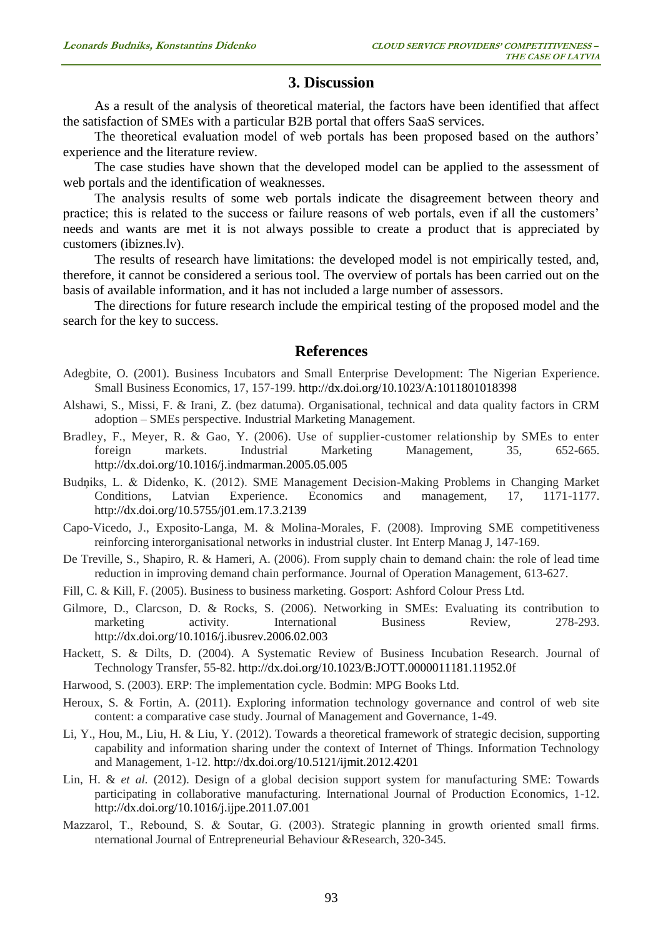# **3. Discussion**

As a result of the analysis of theoretical material, the factors have been identified that affect the satisfaction of SMEs with a particular B2B portal that offers SaaS services.

The theoretical evaluation model of web portals has been proposed based on the authors' experience and the literature review.

The case studies have shown that the developed model can be applied to the assessment of web portals and the identification of weaknesses.

The analysis results of some web portals indicate the disagreement between theory and practice; this is related to the success or failure reasons of web portals, even if all the customers' needs and wants are met it is not always possible to create a product that is appreciated by customers (ibiznes.lv).

The results of research have limitations: the developed model is not empirically tested, and, therefore, it cannot be considered a serious tool. The overview of portals has been carried out on the basis of available information, and it has not included a large number of assessors.

The directions for future research include the empirical testing of the proposed model and the search for the key to success.

# **References**

- Adegbite, O. (2001). Business Incubators and Small Enterprise Development: The Nigerian Experience. Small Business Economics, 17, 157-199. <http://dx.doi.org/10.1023/A:1011801018398>
- Alshawi, S., Missi, F. & Irani, Z. (bez datuma). Organisational, technical and data quality factors in CRM adoption – SMEs perspective. Industrial Marketing Management.
- Bradley, F., Meyer, R. & Gao, Y. (2006). Use of supplier-customer relationship by SMEs to enter foreign markets. Industrial Marketing Management, 35, 652-665. <http://dx.doi.org/10.1016/j.indmarman.2005.05.005>
- Budņiks, L. & Didenko, K. (2012). SME Management Decision-Making Problems in Changing Market Conditions, Latvian Experience. Economics and management, 17, 1171-1177. <http://dx.doi.org/10.5755/j01.em.17.3.2139>
- Capo-Vicedo, J., Exposito-Langa, M. & Molina-Morales, F. (2008). Improving SME competitiveness reinforcing interorganisational networks in industrial cluster. Int Enterp Manag J, 147-169.
- De Treville, S., Shapiro, R. & Hameri, A. (2006). From supply chain to demand chain: the role of lead time reduction in improving demand chain performance. Journal of Operation Management, 613-627.
- Fill, C. & Kill, F. (2005). Business to business marketing. Gosport: Ashford Colour Press Ltd.
- Gilmore, D., Clarcson, D. & Rocks, S. (2006). Networking in SMEs: Evaluating its contribution to marketing activity. International Business Review, 278-293. <http://dx.doi.org/10.1016/j.ibusrev.2006.02.003>
- Hackett, S. & Dilts, D. (2004). A Systematic Review of Business Incubation Research. Journal of Technology Transfer, 55-82. <http://dx.doi.org/10.1023/B:JOTT.0000011181.11952.0f>
- Harwood, S. (2003). ERP: The implementation cycle. Bodmin: MPG Books Ltd.
- Heroux, S. & Fortin, A. (2011). Exploring information technology governance and control of web site content: a comparative case study. Journal of Management and Governance, 1-49.
- Li, Y., Hou, M., Liu, H. & Liu, Y. (2012). Towards a theoretical framework of strategic decision, supporting capability and information sharing under the context of Internet of Things. Information Technology and Management, 1-12. <http://dx.doi.org/10.5121/ijmit.2012.4201>
- Lin, H. & *et al.* (2012). Design of a global decision support system for manufacturing SME: Towards participating in collaborative manufacturing. International Journal of Production Economics, 1-12. <http://dx.doi.org/10.1016/j.ijpe.2011.07.001>
- Mazzarol, T., Rebound, S. & Soutar, G. (2003). Strategic planning in growth oriented small firms. nternational Journal of Entrepreneurial Behaviour &Research, 320-345.